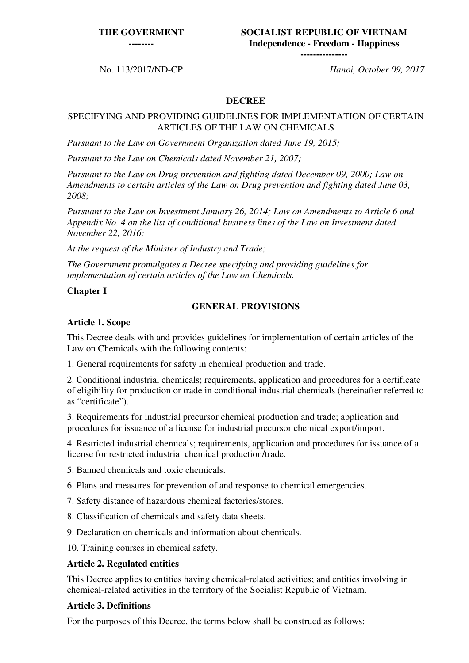#### **THE GOVERMENT**

**--------**

#### **SOCIALIST REPUBLIC OF VIETNAM Independence - Freedom - Happiness ---------------**

No. 113/2017/ND-CP *Hanoi, October 09, 2017*

#### **DECREE**

#### SPECIFYING AND PROVIDING GUIDELINES FOR IMPLEMENTATION OF CERTAIN ARTICLES OF THE LAW ON CHEMICALS

*Pursuant to the Law on Government Organization dated June 19, 2015;*

*Pursuant to the Law on Chemicals dated November 21, 2007;*

*Pursuant to the Law on Drug prevention and fighting dated December 09, 2000; Law on Amendments to certain articles of the Law on Drug prevention and fighting dated June 03, 2008;*

*Pursuant to the Law on Investment January 26, 2014; Law on Amendments to Article 6 and Appendix No. 4 on the list of conditional business lines of the Law on Investment dated November 22, 2016;*

*At the request of the Minister of Industry and Trade;*

*The Government promulgates a Decree specifying and providing guidelines for implementation of certain articles of the Law on Chemicals.*

### **Chapter I**

### **GENERAL PROVISIONS**

### **Article 1. Scope**

This Decree deals with and provides guidelines for implementation of certain articles of the Law on Chemicals with the following contents:

1. General requirements for safety in chemical production and trade.

2. Conditional industrial chemicals; requirements, application and procedures for a certificate of eligibility for production or trade in conditional industrial chemicals (hereinafter referred to as "certificate").

3. Requirements for industrial precursor chemical production and trade; application and procedures for issuance of a license for industrial precursor chemical export/import.

4. Restricted industrial chemicals; requirements, application and procedures for issuance of a license for restricted industrial chemical production/trade.

5. Banned chemicals and toxic chemicals.

6. Plans and measures for prevention of and response to chemical emergencies.

7. Safety distance of hazardous chemical factories/stores.

8. Classification of chemicals and safety data sheets.

9. Declaration on chemicals and information about chemicals.

10. Training courses in chemical safety.

### **Article 2. Regulated entities**

This Decree applies to entities having chemical-related activities; and entities involving in chemical-related activities in the territory of the Socialist Republic of Vietnam.

#### **Article 3. Definitions**

For the purposes of this Decree, the terms below shall be construed as follows: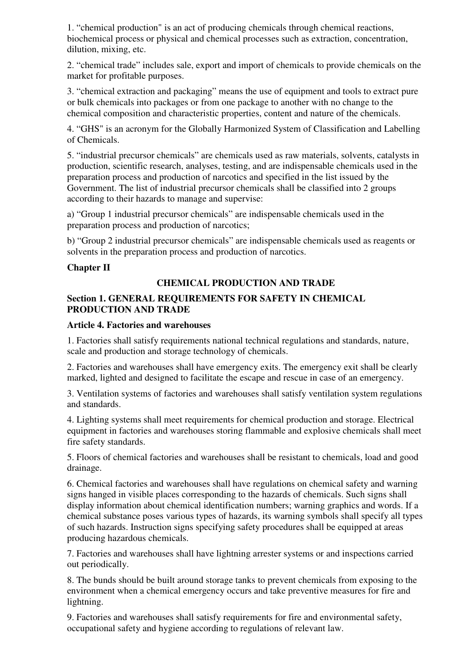1. "chemical production" is an act of producing chemicals through chemical reactions, biochemical process or physical and chemical processes such as extraction, concentration, dilution, mixing, etc.

2. "chemical trade" includes sale, export and import of chemicals to provide chemicals on the market for profitable purposes.

3. "chemical extraction and packaging" means the use of equipment and tools to extract pure or bulk chemicals into packages or from one package to another with no change to the chemical composition and characteristic properties, content and nature of the chemicals.

4. "GHS" is an acronym for the Globally Harmonized System of Classification and Labelling of Chemicals.

5. "industrial precursor chemicals" are chemicals used as raw materials, solvents, catalysts in production, scientific research, analyses, testing, and are indispensable chemicals used in the preparation process and production of narcotics and specified in the list issued by the Government. The list of industrial precursor chemicals shall be classified into 2 groups according to their hazards to manage and supervise:

a) "Group 1 industrial precursor chemicals" are indispensable chemicals used in the preparation process and production of narcotics;

b) "Group 2 industrial precursor chemicals" are indispensable chemicals used as reagents or solvents in the preparation process and production of narcotics.

### **Chapter II**

### **CHEMICAL PRODUCTION AND TRADE**

#### **Section 1. GENERAL REQUIREMENTS FOR SAFETY IN CHEMICAL PRODUCTION AND TRADE**

#### **Article 4. Factories and warehouses**

1. Factories shall satisfy requirements national technical regulations and standards, nature, scale and production and storage technology of chemicals.

2. Factories and warehouses shall have emergency exits. The emergency exit shall be clearly marked, lighted and designed to facilitate the escape and rescue in case of an emergency.

3. Ventilation systems of factories and warehouses shall satisfy ventilation system regulations and standards.

4. Lighting systems shall meet requirements for chemical production and storage. Electrical equipment in factories and warehouses storing flammable and explosive chemicals shall meet fire safety standards.

5. Floors of chemical factories and warehouses shall be resistant to chemicals, load and good drainage.

6. Chemical factories and warehouses shall have regulations on chemical safety and warning signs hanged in visible places corresponding to the hazards of chemicals. Such signs shall display information about chemical identification numbers; warning graphics and words. If a chemical substance poses various types of hazards, its warning symbols shall specify all types of such hazards. Instruction signs specifying safety procedures shall be equipped at areas producing hazardous chemicals.

7. Factories and warehouses shall have lightning arrester systems or and inspections carried out periodically.

8. The bunds should be built around storage tanks to prevent chemicals from exposing to the environment when a chemical emergency occurs and take preventive measures for fire and lightning.

9. Factories and warehouses shall satisfy requirements for fire and environmental safety, occupational safety and hygiene according to regulations of relevant law.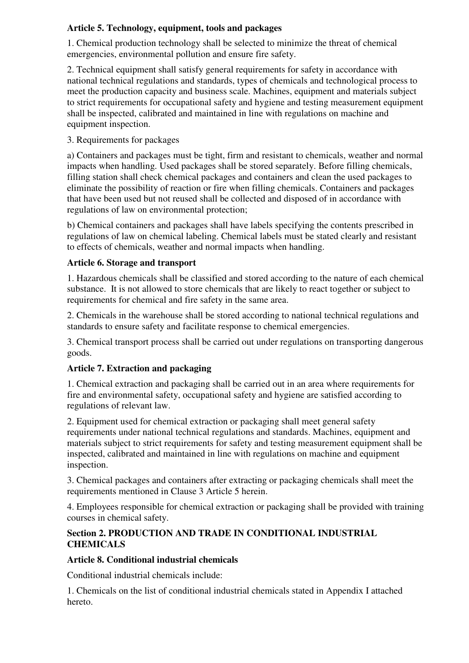## **Article 5. Technology, equipment, tools and packages**

1. Chemical production technology shall be selected to minimize the threat of chemical emergencies, environmental pollution and ensure fire safety.

2. Technical equipment shall satisfy general requirements for safety in accordance with national technical regulations and standards, types of chemicals and technological process to meet the production capacity and business scale. Machines, equipment and materials subject to strict requirements for occupational safety and hygiene and testing measurement equipment shall be inspected, calibrated and maintained in line with regulations on machine and equipment inspection.

# 3. Requirements for packages

a) Containers and packages must be tight, firm and resistant to chemicals, weather and normal impacts when handling. Used packages shall be stored separately. Before filling chemicals, filling station shall check chemical packages and containers and clean the used packages to eliminate the possibility of reaction or fire when filling chemicals. Containers and packages that have been used but not reused shall be collected and disposed of in accordance with regulations of law on environmental protection;

b) Chemical containers and packages shall have labels specifying the contents prescribed in regulations of law on chemical labeling. Chemical labels must be stated clearly and resistant to effects of chemicals, weather and normal impacts when handling.

# **Article 6. Storage and transport**

1. Hazardous chemicals shall be classified and stored according to the nature of each chemical substance. It is not allowed to store chemicals that are likely to react together or subject to requirements for chemical and fire safety in the same area.

2. Chemicals in the warehouse shall be stored according to national technical regulations and standards to ensure safety and facilitate response to chemical emergencies.

3. Chemical transport process shall be carried out under regulations on transporting dangerous goods.

# **Article 7. Extraction and packaging**

1. Chemical extraction and packaging shall be carried out in an area where requirements for fire and environmental safety, occupational safety and hygiene are satisfied according to regulations of relevant law.

2. Equipment used for chemical extraction or packaging shall meet general safety requirements under national technical regulations and standards. Machines, equipment and materials subject to strict requirements for safety and testing measurement equipment shall be inspected, calibrated and maintained in line with regulations on machine and equipment inspection.

3. Chemical packages and containers after extracting or packaging chemicals shall meet the requirements mentioned in Clause 3 Article 5 herein.

4. Employees responsible for chemical extraction or packaging shall be provided with training courses in chemical safety.

## **Section 2. PRODUCTION AND TRADE IN CONDITIONAL INDUSTRIAL CHEMICALS**

## **Article 8. Conditional industrial chemicals**

Conditional industrial chemicals include:

1. Chemicals on the list of conditional industrial chemicals stated in Appendix I attached hereto.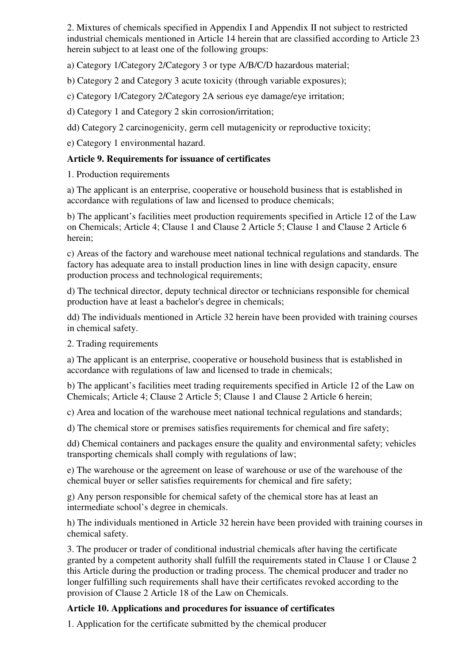2. Mixtures of chemicals specified in Appendix I and Appendix II not subject to restricted industrial chemicals mentioned in Article 14 herein that are classified according to Article 23 herein subject to at least one of the following groups:

a) Category 1/Category 2/Category 3 or type A/B/C/D hazardous material;

b) Category 2 and Category 3 acute toxicity (through variable exposures);

c) Category 1/Category 2/Category 2A serious eye damage/eye irritation;

d) Category 1 and Category 2 skin corrosion/irritation;

dd) Category 2 carcinogenicity, germ cell mutagenicity or reproductive toxicity;

e) Category 1 environmental hazard.

### **Article 9. Requirements for issuance of certificates**

1. Production requirements

a) The applicant is an enterprise, cooperative or household business that is established in accordance with regulations of law and licensed to produce chemicals;

b) The applicant's facilities meet production requirements specified in Article 12 of the Law on Chemicals; Article 4; Clause 1 and Clause 2 Article 5; Clause 1 and Clause 2 Article 6 herein;

c) Areas of the factory and warehouse meet national technical regulations and standards. The factory has adequate area to install production lines in line with design capacity, ensure production process and technological requirements;

d) The technical director, deputy technical director or technicians responsible for chemical production have at least a bachelor's degree in chemicals;

dd) The individuals mentioned in Article 32 herein have been provided with training courses in chemical safety.

2. Trading requirements

a) The applicant is an enterprise, cooperative or household business that is established in accordance with regulations of law and licensed to trade in chemicals;

b) The applicant's facilities meet trading requirements specified in Article 12 of the Law on Chemicals; Article 4; Clause 2 Article 5; Clause 1 and Clause 2 Article 6 herein;

c) Area and location of the warehouse meet national technical regulations and standards;

d) The chemical store or premises satisfies requirements for chemical and fire safety;

dd) Chemical containers and packages ensure the quality and environmental safety; vehicles transporting chemicals shall comply with regulations of law;

e) The warehouse or the agreement on lease of warehouse or use of the warehouse of the chemical buyer or seller satisfies requirements for chemical and fire safety;

g) Any person responsible for chemical safety of the chemical store has at least an intermediate school's degree in chemicals.

h) The individuals mentioned in Article 32 herein have been provided with training courses in chemical safety.

3. The producer or trader of conditional industrial chemicals after having the certificate granted by a competent authority shall fulfill the requirements stated in Clause 1 or Clause 2 this Article during the production or trading process. The chemical producer and trader no longer fulfilling such requirements shall have their certificates revoked according to the provision of Clause 2 Article 18 of the Law on Chemicals.

## **Article 10. Applications and procedures for issuance of certificates**

1. Application for the certificate submitted by the chemical producer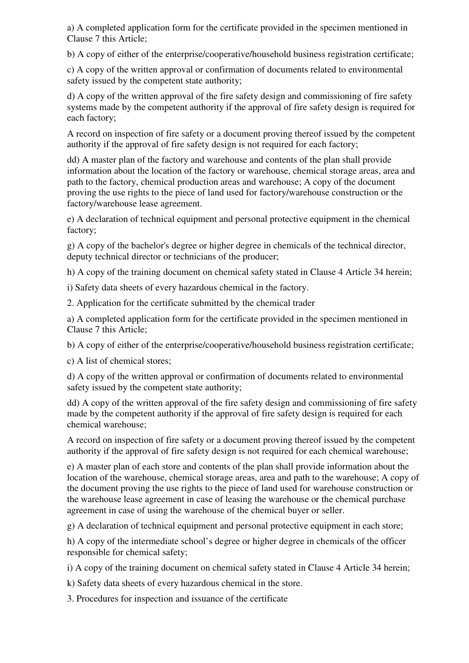a) A completed application form for the certificate provided in the specimen mentioned in Clause 7 this Article;

b) A copy of either of the enterprise/cooperative/household business registration certificate;

c) A copy of the written approval or confirmation of documents related to environmental safety issued by the competent state authority;

d) A copy of the written approval of the fire safety design and commissioning of fire safety systems made by the competent authority if the approval of fire safety design is required for each factory;

A record on inspection of fire safety or a document proving thereof issued by the competent authority if the approval of fire safety design is not required for each factory;

dd) A master plan of the factory and warehouse and contents of the plan shall provide information about the location of the factory or warehouse, chemical storage areas, area and path to the factory, chemical production areas and warehouse; A copy of the document proving the use rights to the piece of land used for factory/warehouse construction or the factory/warehouse lease agreement.

e) A declaration of technical equipment and personal protective equipment in the chemical factory;

g) A copy of the bachelor's degree or higher degree in chemicals of the technical director, deputy technical director or technicians of the producer;

h) A copy of the training document on chemical safety stated in Clause 4 Article 34 herein;

i) Safety data sheets of every hazardous chemical in the factory.

2. Application for the certificate submitted by the chemical trader

a) A completed application form for the certificate provided in the specimen mentioned in Clause 7 this Article;

b) A copy of either of the enterprise/cooperative/household business registration certificate;

c) A list of chemical stores;

d) A copy of the written approval or confirmation of documents related to environmental safety issued by the competent state authority;

dd) A copy of the written approval of the fire safety design and commissioning of fire safety made by the competent authority if the approval of fire safety design is required for each chemical warehouse;

A record on inspection of fire safety or a document proving thereof issued by the competent authority if the approval of fire safety design is not required for each chemical warehouse;

e) A master plan of each store and contents of the plan shall provide information about the location of the warehouse, chemical storage areas, area and path to the warehouse; A copy of the document proving the use rights to the piece of land used for warehouse construction or the warehouse lease agreement in case of leasing the warehouse or the chemical purchase agreement in case of using the warehouse of the chemical buyer or seller.

g) A declaration of technical equipment and personal protective equipment in each store;

h) A copy of the intermediate school's degree or higher degree in chemicals of the officer responsible for chemical safety;

i) A copy of the training document on chemical safety stated in Clause 4 Article 34 herein;

k) Safety data sheets of every hazardous chemical in the store.

3. Procedures for inspection and issuance of the certificate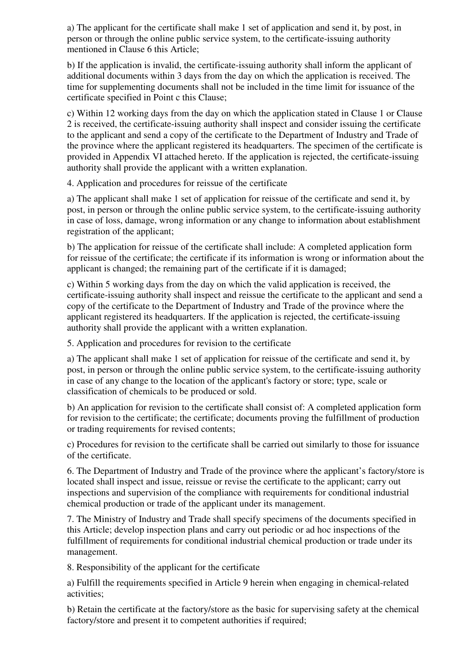a) The applicant for the certificate shall make 1 set of application and send it, by post, in person or through the online public service system, to the certificate-issuing authority mentioned in Clause 6 this Article;

b) If the application is invalid, the certificate-issuing authority shall inform the applicant of additional documents within 3 days from the day on which the application is received. The time for supplementing documents shall not be included in the time limit for issuance of the certificate specified in Point c this Clause;

c) Within 12 working days from the day on which the application stated in Clause 1 or Clause 2 is received, the certificate-issuing authority shall inspect and consider issuing the certificate to the applicant and send a copy of the certificate to the Department of Industry and Trade of the province where the applicant registered its headquarters. The specimen of the certificate is provided in Appendix VI attached hereto. If the application is rejected, the certificate-issuing authority shall provide the applicant with a written explanation.

4. Application and procedures for reissue of the certificate

a) The applicant shall make 1 set of application for reissue of the certificate and send it, by post, in person or through the online public service system, to the certificate-issuing authority in case of loss, damage, wrong information or any change to information about establishment registration of the applicant;

b) The application for reissue of the certificate shall include: A completed application form for reissue of the certificate; the certificate if its information is wrong or information about the applicant is changed; the remaining part of the certificate if it is damaged;

c) Within 5 working days from the day on which the valid application is received, the certificate-issuing authority shall inspect and reissue the certificate to the applicant and send a copy of the certificate to the Department of Industry and Trade of the province where the applicant registered its headquarters. If the application is rejected, the certificate-issuing authority shall provide the applicant with a written explanation.

5. Application and procedures for revision to the certificate

a) The applicant shall make 1 set of application for reissue of the certificate and send it, by post, in person or through the online public service system, to the certificate-issuing authority in case of any change to the location of the applicant's factory or store; type, scale or classification of chemicals to be produced or sold.

b) An application for revision to the certificate shall consist of: A completed application form for revision to the certificate; the certificate; documents proving the fulfillment of production or trading requirements for revised contents;

c) Procedures for revision to the certificate shall be carried out similarly to those for issuance of the certificate.

6. The Department of Industry and Trade of the province where the applicant's factory/store is located shall inspect and issue, reissue or revise the certificate to the applicant; carry out inspections and supervision of the compliance with requirements for conditional industrial chemical production or trade of the applicant under its management.

7. The Ministry of Industry and Trade shall specify specimens of the documents specified in this Article; develop inspection plans and carry out periodic or ad hoc inspections of the fulfillment of requirements for conditional industrial chemical production or trade under its management.

8. Responsibility of the applicant for the certificate

a) Fulfill the requirements specified in Article 9 herein when engaging in chemical-related activities;

b) Retain the certificate at the factory/store as the basic for supervising safety at the chemical factory/store and present it to competent authorities if required;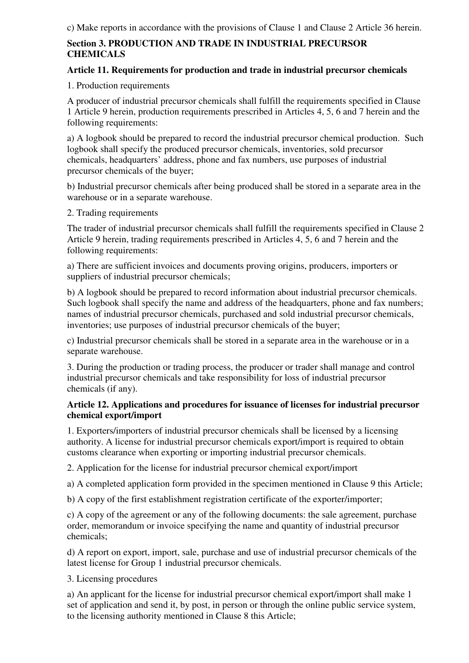# **Section 3. PRODUCTION AND TRADE IN INDUSTRIAL PRECURSOR CHEMICALS**

### **Article 11. Requirements for production and trade in industrial precursor chemicals**

1. Production requirements

A producer of industrial precursor chemicals shall fulfill the requirements specified in Clause 1 Article 9 herein, production requirements prescribed in Articles 4, 5, 6 and 7 herein and the following requirements:

a) A logbook should be prepared to record the industrial precursor chemical production. Such logbook shall specify the produced precursor chemicals, inventories, sold precursor chemicals, headquarters' address, phone and fax numbers, use purposes of industrial precursor chemicals of the buyer;

b) Industrial precursor chemicals after being produced shall be stored in a separate area in the warehouse or in a separate warehouse.

2. Trading requirements

The trader of industrial precursor chemicals shall fulfill the requirements specified in Clause 2 Article 9 herein, trading requirements prescribed in Articles 4, 5, 6 and 7 herein and the following requirements:

a) There are sufficient invoices and documents proving origins, producers, importers or suppliers of industrial precursor chemicals;

b) A logbook should be prepared to record information about industrial precursor chemicals. Such logbook shall specify the name and address of the headquarters, phone and fax numbers; names of industrial precursor chemicals, purchased and sold industrial precursor chemicals, inventories; use purposes of industrial precursor chemicals of the buyer;

c) Industrial precursor chemicals shall be stored in a separate area in the warehouse or in a separate warehouse.

3. During the production or trading process, the producer or trader shall manage and control industrial precursor chemicals and take responsibility for loss of industrial precursor chemicals (if any).

### **Article 12. Applications and procedures for issuance of licenses for industrial precursor chemical export/import**

1. Exporters/importers of industrial precursor chemicals shall be licensed by a licensing authority. A license for industrial precursor chemicals export/import is required to obtain customs clearance when exporting or importing industrial precursor chemicals.

2. Application for the license for industrial precursor chemical export/import

a) A completed application form provided in the specimen mentioned in Clause 9 this Article;

b) A copy of the first establishment registration certificate of the exporter/importer;

c) A copy of the agreement or any of the following documents: the sale agreement, purchase order, memorandum or invoice specifying the name and quantity of industrial precursor chemicals;

d) A report on export, import, sale, purchase and use of industrial precursor chemicals of the latest license for Group 1 industrial precursor chemicals.

3. Licensing procedures

a) An applicant for the license for industrial precursor chemical export/import shall make 1 set of application and send it, by post, in person or through the online public service system, to the licensing authority mentioned in Clause 8 this Article;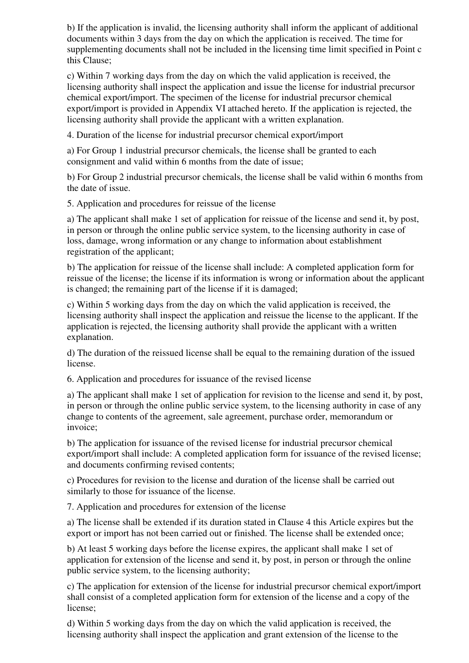b) If the application is invalid, the licensing authority shall inform the applicant of additional documents within 3 days from the day on which the application is received. The time for supplementing documents shall not be included in the licensing time limit specified in Point c this Clause;

c) Within 7 working days from the day on which the valid application is received, the licensing authority shall inspect the application and issue the license for industrial precursor chemical export/import. The specimen of the license for industrial precursor chemical export/import is provided in Appendix VI attached hereto. If the application is rejected, the licensing authority shall provide the applicant with a written explanation.

4. Duration of the license for industrial precursor chemical export/import

a) For Group 1 industrial precursor chemicals, the license shall be granted to each consignment and valid within 6 months from the date of issue;

b) For Group 2 industrial precursor chemicals, the license shall be valid within 6 months from the date of issue.

5. Application and procedures for reissue of the license

a) The applicant shall make 1 set of application for reissue of the license and send it, by post, in person or through the online public service system, to the licensing authority in case of loss, damage, wrong information or any change to information about establishment registration of the applicant;

b) The application for reissue of the license shall include: A completed application form for reissue of the license; the license if its information is wrong or information about the applicant is changed; the remaining part of the license if it is damaged;

c) Within 5 working days from the day on which the valid application is received, the licensing authority shall inspect the application and reissue the license to the applicant. If the application is rejected, the licensing authority shall provide the applicant with a written explanation.

d) The duration of the reissued license shall be equal to the remaining duration of the issued license.

6. Application and procedures for issuance of the revised license

a) The applicant shall make 1 set of application for revision to the license and send it, by post, in person or through the online public service system, to the licensing authority in case of any change to contents of the agreement, sale agreement, purchase order, memorandum or invoice;

b) The application for issuance of the revised license for industrial precursor chemical export/import shall include: A completed application form for issuance of the revised license; and documents confirming revised contents;

c) Procedures for revision to the license and duration of the license shall be carried out similarly to those for issuance of the license.

7. Application and procedures for extension of the license

a) The license shall be extended if its duration stated in Clause 4 this Article expires but the export or import has not been carried out or finished. The license shall be extended once;

b) At least 5 working days before the license expires, the applicant shall make 1 set of application for extension of the license and send it, by post, in person or through the online public service system, to the licensing authority;

c) The application for extension of the license for industrial precursor chemical export/import shall consist of a completed application form for extension of the license and a copy of the license;

d) Within 5 working days from the day on which the valid application is received, the licensing authority shall inspect the application and grant extension of the license to the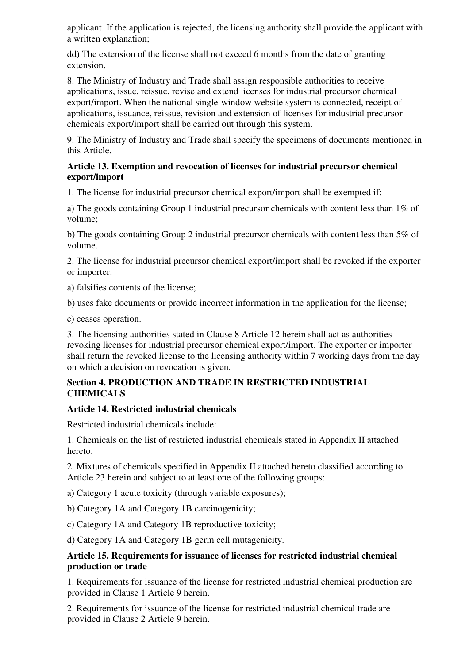applicant. If the application is rejected, the licensing authority shall provide the applicant with a written explanation;

dd) The extension of the license shall not exceed 6 months from the date of granting extension.

8. The Ministry of Industry and Trade shall assign responsible authorities to receive applications, issue, reissue, revise and extend licenses for industrial precursor chemical export/import. When the national single-window website system is connected, receipt of applications, issuance, reissue, revision and extension of licenses for industrial precursor chemicals export/import shall be carried out through this system.

9. The Ministry of Industry and Trade shall specify the specimens of documents mentioned in this Article.

#### **Article 13. Exemption and revocation of licenses for industrial precursor chemical export/import**

1. The license for industrial precursor chemical export/import shall be exempted if:

a) The goods containing Group 1 industrial precursor chemicals with content less than 1% of volume;

b) The goods containing Group 2 industrial precursor chemicals with content less than 5% of volume.

2. The license for industrial precursor chemical export/import shall be revoked if the exporter or importer:

a) falsifies contents of the license;

b) uses fake documents or provide incorrect information in the application for the license;

c) ceases operation.

3. The licensing authorities stated in Clause 8 Article 12 herein shall act as authorities revoking licenses for industrial precursor chemical export/import. The exporter or importer shall return the revoked license to the licensing authority within 7 working days from the day on which a decision on revocation is given.

### **Section 4. PRODUCTION AND TRADE IN RESTRICTED INDUSTRIAL CHEMICALS**

### **Article 14. Restricted industrial chemicals**

Restricted industrial chemicals include:

1. Chemicals on the list of restricted industrial chemicals stated in Appendix II attached hereto.

2. Mixtures of chemicals specified in Appendix II attached hereto classified according to Article 23 herein and subject to at least one of the following groups:

a) Category 1 acute toxicity (through variable exposures);

b) Category 1A and Category 1B carcinogenicity;

c) Category 1A and Category 1B reproductive toxicity;

d) Category 1A and Category 1B germ cell mutagenicity.

#### **Article 15. Requirements for issuance of licenses for restricted industrial chemical production or trade**

1. Requirements for issuance of the license for restricted industrial chemical production are provided in Clause 1 Article 9 herein.

2. Requirements for issuance of the license for restricted industrial chemical trade are provided in Clause 2 Article 9 herein.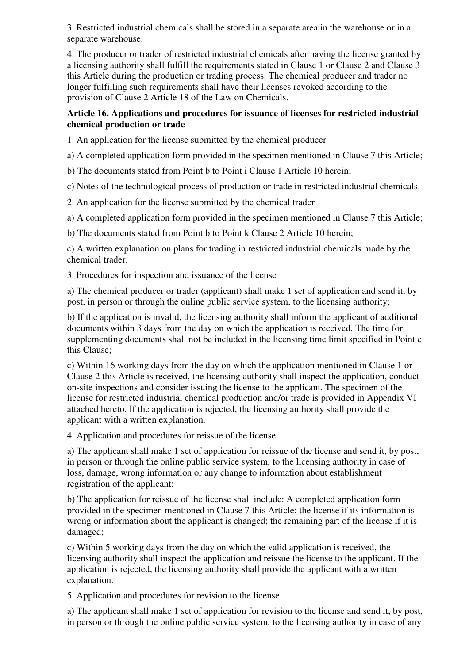3. Restricted industrial chemicals shall be stored in a separate area in the warehouse or in a separate warehouse.

4. The producer or trader of restricted industrial chemicals after having the license granted by a licensing authority shall fulfill the requirements stated in Clause 1 or Clause 2 and Clause 3 this Article during the production or trading process. The chemical producer and trader no longer fulfilling such requirements shall have their licenses revoked according to the provision of Clause 2 Article 18 of the Law on Chemicals.

### **Article 16. Applications and procedures for issuance of licenses for restricted industrial chemical production or trade**

1. An application for the license submitted by the chemical producer

a) A completed application form provided in the specimen mentioned in Clause 7 this Article;

b) The documents stated from Point b to Point i Clause 1 Article 10 herein;

c) Notes of the technological process of production or trade in restricted industrial chemicals.

2. An application for the license submitted by the chemical trader

a) A completed application form provided in the specimen mentioned in Clause 7 this Article;

b) The documents stated from Point b to Point k Clause 2 Article 10 herein;

c) A written explanation on plans for trading in restricted industrial chemicals made by the chemical trader.

3. Procedures for inspection and issuance of the license

a) The chemical producer or trader (applicant) shall make 1 set of application and send it, by post, in person or through the online public service system, to the licensing authority;

b) If the application is invalid, the licensing authority shall inform the applicant of additional documents within 3 days from the day on which the application is received. The time for supplementing documents shall not be included in the licensing time limit specified in Point c this Clause;

c) Within 16 working days from the day on which the application mentioned in Clause 1 or Clause 2 this Article is received, the licensing authority shall inspect the application, conduct on-site inspections and consider issuing the license to the applicant. The specimen of the license for restricted industrial chemical production and/or trade is provided in Appendix VI attached hereto. If the application is rejected, the licensing authority shall provide the applicant with a written explanation.

4. Application and procedures for reissue of the license

a) The applicant shall make 1 set of application for reissue of the license and send it, by post, in person or through the online public service system, to the licensing authority in case of loss, damage, wrong information or any change to information about establishment registration of the applicant;

b) The application for reissue of the license shall include: A completed application form provided in the specimen mentioned in Clause 7 this Article; the license if its information is wrong or information about the applicant is changed; the remaining part of the license if it is damaged;

c) Within 5 working days from the day on which the valid application is received, the licensing authority shall inspect the application and reissue the license to the applicant. If the application is rejected, the licensing authority shall provide the applicant with a written explanation.

5. Application and procedures for revision to the license

a) The applicant shall make 1 set of application for revision to the license and send it, by post, in person or through the online public service system, to the licensing authority in case of any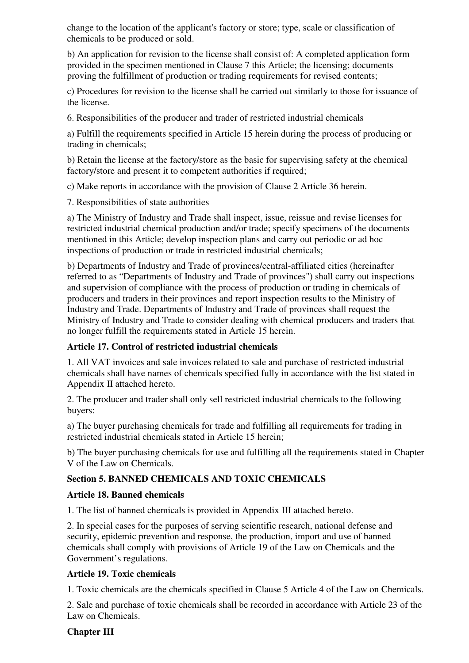change to the location of the applicant's factory or store; type, scale or classification of chemicals to be produced or sold.

b) An application for revision to the license shall consist of: A completed application form provided in the specimen mentioned in Clause 7 this Article; the licensing; documents proving the fulfillment of production or trading requirements for revised contents;

c) Procedures for revision to the license shall be carried out similarly to those for issuance of the license.

6. Responsibilities of the producer and trader of restricted industrial chemicals

a) Fulfill the requirements specified in Article 15 herein during the process of producing or trading in chemicals;

b) Retain the license at the factory/store as the basic for supervising safety at the chemical factory/store and present it to competent authorities if required;

c) Make reports in accordance with the provision of Clause 2 Article 36 herein.

7. Responsibilities of state authorities

a) The Ministry of Industry and Trade shall inspect, issue, reissue and revise licenses for restricted industrial chemical production and/or trade; specify specimens of the documents mentioned in this Article; develop inspection plans and carry out periodic or ad hoc inspections of production or trade in restricted industrial chemicals;

b) Departments of Industry and Trade of provinces/central-affiliated cities (hereinafter referred to as "Departments of Industry and Trade of provinces") shall carry out inspections and supervision of compliance with the process of production or trading in chemicals of producers and traders in their provinces and report inspection results to the Ministry of Industry and Trade. Departments of Industry and Trade of provinces shall request the Ministry of Industry and Trade to consider dealing with chemical producers and traders that no longer fulfill the requirements stated in Article 15 herein.

## **Article 17. Control of restricted industrial chemicals**

1. All VAT invoices and sale invoices related to sale and purchase of restricted industrial chemicals shall have names of chemicals specified fully in accordance with the list stated in Appendix II attached hereto.

2. The producer and trader shall only sell restricted industrial chemicals to the following buyers:

a) The buyer purchasing chemicals for trade and fulfilling all requirements for trading in restricted industrial chemicals stated in Article 15 herein;

b) The buyer purchasing chemicals for use and fulfilling all the requirements stated in Chapter V of the Law on Chemicals.

# **Section 5. BANNED CHEMICALS AND TOXIC CHEMICALS**

## **Article 18. Banned chemicals**

1. The list of banned chemicals is provided in Appendix III attached hereto.

2. In special cases for the purposes of serving scientific research, national defense and security, epidemic prevention and response, the production, import and use of banned chemicals shall comply with provisions of Article 19 of the Law on Chemicals and the Government's regulations.

## **Article 19. Toxic chemicals**

1. Toxic chemicals are the chemicals specified in Clause 5 Article 4 of the Law on Chemicals.

2. Sale and purchase of toxic chemicals shall be recorded in accordance with Article 23 of the Law on Chemicals.

## **Chapter III**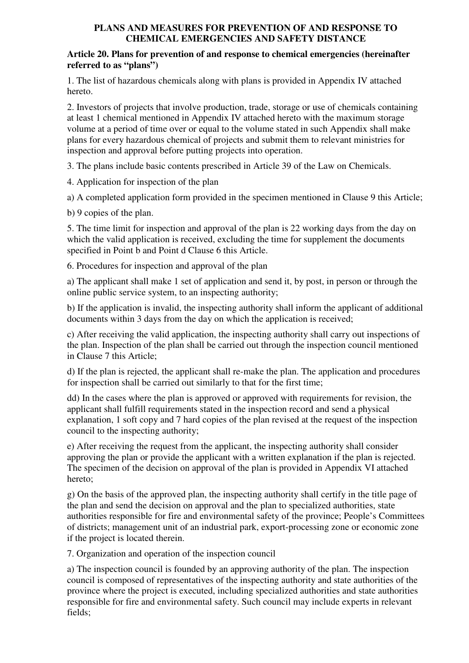### **PLANS AND MEASURES FOR PREVENTION OF AND RESPONSE TO CHEMICAL EMERGENCIES AND SAFETY DISTANCE**

#### **Article 20. Plans for prevention of and response to chemical emergencies (hereinafter referred to as "plans")**

1. The list of hazardous chemicals along with plans is provided in Appendix IV attached hereto.

2. Investors of projects that involve production, trade, storage or use of chemicals containing at least 1 chemical mentioned in Appendix IV attached hereto with the maximum storage volume at a period of time over or equal to the volume stated in such Appendix shall make plans for every hazardous chemical of projects and submit them to relevant ministries for inspection and approval before putting projects into operation.

3. The plans include basic contents prescribed in Article 39 of the Law on Chemicals.

4. Application for inspection of the plan

a) A completed application form provided in the specimen mentioned in Clause 9 this Article;

b) 9 copies of the plan.

5. The time limit for inspection and approval of the plan is 22 working days from the day on which the valid application is received, excluding the time for supplement the documents specified in Point b and Point d Clause 6 this Article.

6. Procedures for inspection and approval of the plan

a) The applicant shall make 1 set of application and send it, by post, in person or through the online public service system, to an inspecting authority;

b) If the application is invalid, the inspecting authority shall inform the applicant of additional documents within 3 days from the day on which the application is received;

c) After receiving the valid application, the inspecting authority shall carry out inspections of the plan. Inspection of the plan shall be carried out through the inspection council mentioned in Clause 7 this Article;

d) If the plan is rejected, the applicant shall re-make the plan. The application and procedures for inspection shall be carried out similarly to that for the first time;

dd) In the cases where the plan is approved or approved with requirements for revision, the applicant shall fulfill requirements stated in the inspection record and send a physical explanation, 1 soft copy and 7 hard copies of the plan revised at the request of the inspection council to the inspecting authority;

e) After receiving the request from the applicant, the inspecting authority shall consider approving the plan or provide the applicant with a written explanation if the plan is rejected. The specimen of the decision on approval of the plan is provided in Appendix VI attached hereto;

g) On the basis of the approved plan, the inspecting authority shall certify in the title page of the plan and send the decision on approval and the plan to specialized authorities, state authorities responsible for fire and environmental safety of the province; People's Committees of districts; management unit of an industrial park, export-processing zone or economic zone if the project is located therein.

7. Organization and operation of the inspection council

a) The inspection council is founded by an approving authority of the plan. The inspection council is composed of representatives of the inspecting authority and state authorities of the province where the project is executed, including specialized authorities and state authorities responsible for fire and environmental safety. Such council may include experts in relevant fields;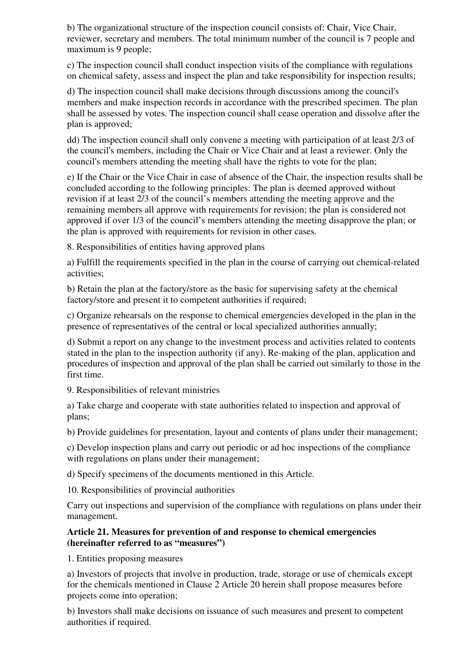b) The organizational structure of the inspection council consists of: Chair, Vice Chair, reviewer, secretary and members. The total minimum number of the council is 7 people and maximum is 9 people;

c) The inspection council shall conduct inspection visits of the compliance with regulations on chemical safety, assess and inspect the plan and take responsibility for inspection results;

d) The inspection council shall make decisions through discussions among the council's members and make inspection records in accordance with the prescribed specimen. The plan shall be assessed by votes. The inspection council shall cease operation and dissolve after the plan is approved;

dd) The inspection council shall only convene a meeting with participation of at least 2/3 of the council's members, including the Chair or Vice Chair and at least a reviewer. Only the council's members attending the meeting shall have the rights to vote for the plan;

e) If the Chair or the Vice Chair in case of absence of the Chair, the inspection results shall be concluded according to the following principles: The plan is deemed approved without revision if at least 2/3 of the council's members attending the meeting approve and the remaining members all approve with requirements for revision; the plan is considered not approved if over 1/3 of the council's members attending the meeting disapprove the plan; or the plan is approved with requirements for revision in other cases.

8. Responsibilities of entities having approved plans

a) Fulfill the requirements specified in the plan in the course of carrying out chemical-related activities;

b) Retain the plan at the factory/store as the basic for supervising safety at the chemical factory/store and present it to competent authorities if required;

c) Organize rehearsals on the response to chemical emergencies developed in the plan in the presence of representatives of the central or local specialized authorities annually;

d) Submit a report on any change to the investment process and activities related to contents stated in the plan to the inspection authority (if any). Re-making of the plan, application and procedures of inspection and approval of the plan shall be carried out similarly to those in the first time.

9. Responsibilities of relevant ministries

a) Take charge and cooperate with state authorities related to inspection and approval of plans;

b) Provide guidelines for presentation, layout and contents of plans under their management;

c) Develop inspection plans and carry out periodic or ad hoc inspections of the compliance with regulations on plans under their management;

d) Specify specimens of the documents mentioned in this Article.

10. Responsibilities of provincial authorities

Carry out inspections and supervision of the compliance with regulations on plans under their management.

### **Article 21. Measures for prevention of and response to chemical emergencies (hereinafter referred to as "measures")**

1. Entities proposing measures

a) Investors of projects that involve in production, trade, storage or use of chemicals except for the chemicals mentioned in Clause 2 Article 20 herein shall propose measures before projects come into operation;

b) Investors shall make decisions on issuance of such measures and present to competent authorities if required.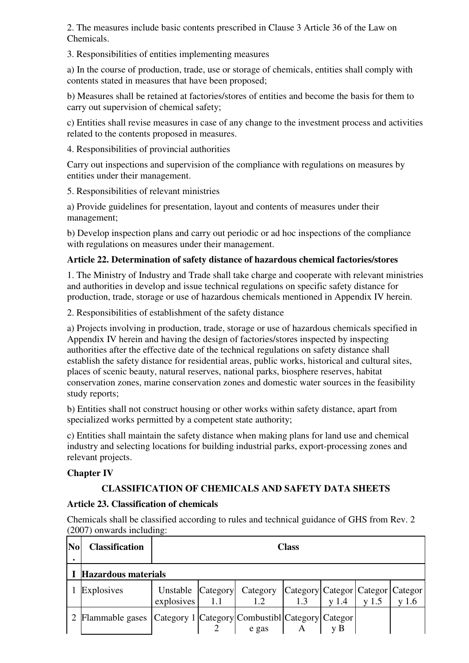2. The measures include basic contents prescribed in Clause 3 Article 36 of the Law on Chemicals.

3. Responsibilities of entities implementing measures

a) In the course of production, trade, use or storage of chemicals, entities shall comply with contents stated in measures that have been proposed;

b) Measures shall be retained at factories/stores of entities and become the basis for them to carry out supervision of chemical safety;

c) Entities shall revise measures in case of any change to the investment process and activities related to the contents proposed in measures.

4. Responsibilities of provincial authorities

Carry out inspections and supervision of the compliance with regulations on measures by entities under their management.

5. Responsibilities of relevant ministries

a) Provide guidelines for presentation, layout and contents of measures under their management;

b) Develop inspection plans and carry out periodic or ad hoc inspections of the compliance with regulations on measures under their management.

## **Article 22. Determination of safety distance of hazardous chemical factories/stores**

1. The Ministry of Industry and Trade shall take charge and cooperate with relevant ministries and authorities in develop and issue technical regulations on specific safety distance for production, trade, storage or use of hazardous chemicals mentioned in Appendix IV herein.

2. Responsibilities of establishment of the safety distance

a) Projects involving in production, trade, storage or use of hazardous chemicals specified in Appendix IV herein and having the design of factories/stores inspected by inspecting authorities after the effective date of the technical regulations on safety distance shall establish the safety distance for residential areas, public works, historical and cultural sites, places of scenic beauty, natural reserves, national parks, biosphere reserves, habitat conservation zones, marine conservation zones and domestic water sources in the feasibility study reports;

b) Entities shall not construct housing or other works within safety distance, apart from specialized works permitted by a competent state authority;

c) Entities shall maintain the safety distance when making plans for land use and chemical industry and selecting locations for building industrial parks, export-processing zones and relevant projects.

### **Chapter IV**

## **CLASSIFICATION OF CHEMICALS AND SAFETY DATA SHEETS**

## **Article 23. Classification of chemicals**

Chemicals shall be classified according to rules and technical guidance of GHS from Rev. 2 (2007) onwards including:

| N <sub>0</sub> | <b>Classification</b>                                             | <b>Class</b>                    |      |                                                   |     |                  |         |         |  |  |
|----------------|-------------------------------------------------------------------|---------------------------------|------|---------------------------------------------------|-----|------------------|---------|---------|--|--|
|                | I Hazardous materials                                             |                                 |      |                                                   |     |                  |         |         |  |  |
|                | Explosives                                                        | Unstable Category<br>explosives | -1.1 | Category   Category   Categor   Categor   Categor | 1.3 | v <sub>1.4</sub> | $y$ 1.5 | $y$ 1.6 |  |  |
|                | 2 Flammable gases Category 1 Category Combustibl Category Categor |                                 |      | $e$ gas                                           |     |                  |         |         |  |  |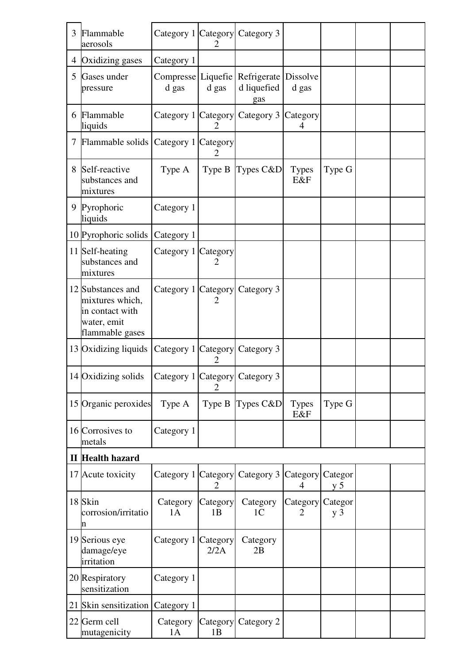| 3 | Flammable<br>aerosols                                                                     | Category 1 Category         | 2                          | Category 3                        |                     |                           |  |
|---|-------------------------------------------------------------------------------------------|-----------------------------|----------------------------|-----------------------------------|---------------------|---------------------------|--|
|   | 4 Oxidizing gases                                                                         | Category 1                  |                            |                                   |                     |                           |  |
| 5 | Gases under<br>pressure                                                                   | Compresse Liquefie<br>d gas | d gas                      | Refrigerate<br>d liquefied<br>gas | Dissolve<br>d gas   |                           |  |
|   | 6 Flammable<br>liquids                                                                    | Category 1 Category         | 2                          | Category 3                        | Category<br>4       |                           |  |
|   | 7 Flammable solids Category 1 Category                                                    |                             | 2                          |                                   |                     |                           |  |
| 8 | Self-reactive<br>substances and<br>mixtures                                               | Type A                      | Type B                     | Types C&D                         | <b>Types</b><br>E&F | Type G                    |  |
|   | 9 Pyrophoric<br>liquids                                                                   | Category 1                  |                            |                                   |                     |                           |  |
|   | 10 Pyrophoric solids                                                                      | Category 1                  |                            |                                   |                     |                           |  |
|   | 11 Self-heating<br>substances and<br>mixtures                                             | Category 1 Category         | 2                          |                                   |                     |                           |  |
|   | 12 Substances and<br>mixtures which,<br>in contact with<br>water, emit<br>flammable gases | Category 1 Category         | 2                          | Category 3                        |                     |                           |  |
|   | 13 Oxidizing liquids Category 1 Category                                                  |                             | 2                          | Category 3                        |                     |                           |  |
|   | 14 Oxidizing solids                                                                       |                             |                            | Category 1 Category Category 3    |                     |                           |  |
|   | 15 Organic peroxides                                                                      | Type A                      | Type B                     | Types $C&D$                       | <b>Types</b><br>E&F | Type G                    |  |
|   | 16 Corrosives to<br>metals                                                                | Category 1                  |                            |                                   |                     |                           |  |
|   | <b>II</b> Health hazard                                                                   |                             |                            |                                   |                     |                           |  |
|   | 17 Acute toxicity                                                                         | Category 1                  | Category<br>$\overline{2}$ | Category 3                        | Category<br>4       | Categor<br>y <sub>5</sub> |  |
|   | 18 Skin<br>corrosion/irritatio<br>n                                                       | Category<br>1A              | Category<br>1B             | Category<br>1 <sub>C</sub>        | Category<br>2       | Categor<br>$y_3$          |  |
|   | 19 Serious eye<br>damage/eye<br>irritation                                                | Category 1                  | Category<br>2/2A           | Category<br>2B                    |                     |                           |  |
|   | 20 Respiratory<br>sensitization                                                           | Category 1                  |                            |                                   |                     |                           |  |
|   | 21 Skin sensitization                                                                     | Category 1                  |                            |                                   |                     |                           |  |
|   | 22 Germ cell<br>mutagenicity                                                              | Category<br>1A              | Category<br>1B             | Category 2                        |                     |                           |  |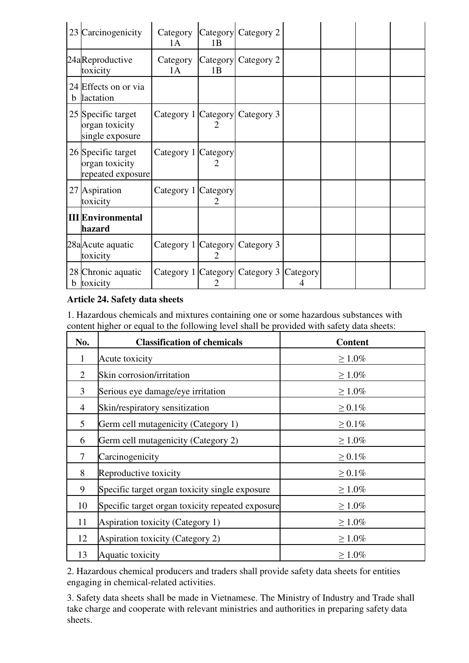| 23          | Carcinogenicity                                           | Category<br>1A      | 1B                    | Category Category 2                           |  |  |
|-------------|-----------------------------------------------------------|---------------------|-----------------------|-----------------------------------------------|--|--|
|             | 24aReproductive<br>toxicity                               | Category<br>1A      | Category<br>1B        | Category 2                                    |  |  |
|             | 24 Effects on or via<br><b>b</b> lactation                |                     |                       |                                               |  |  |
|             | 25 Specific target<br>organ toxicity<br>single exposure   | Category 1 Category |                       | Category 3                                    |  |  |
|             | 26 Specific target<br>organ toxicity<br>repeated exposure | Category 1 Category | 2                     |                                               |  |  |
|             | 27 Aspiration<br>toxicity                                 | Category 1 Category | $\mathcal{D}_{\cdot}$ |                                               |  |  |
|             | <b>III</b> Environmental<br>hazard                        |                     |                       |                                               |  |  |
|             | 28a Acute aquatic<br>toxicity                             |                     | 2                     | Category 1 Category Category 3                |  |  |
| $\mathbf b$ | 28 Chronic aquatic<br>toxicity                            |                     |                       | Category 1   Category   Category 3   Category |  |  |

## **Article 24. Safety data sheets**

1. Hazardous chemicals and mixtures containing one or some hazardous substances with content higher or equal to the following level shall be provided with safety data sheets:

| No.            | <b>Classification of chemicals</b>               | <b>Content</b> |
|----------------|--------------------------------------------------|----------------|
| 1              | Acute toxicity                                   | $\geq 1.0\%$   |
| 2              | Skin corrosion/irritation                        | $\geq 1.0\%$   |
| 3              | Serious eye damage/eye irritation                | $\geq 1.0\%$   |
| $\overline{4}$ | Skin/respiratory sensitization                   | $\geq 0.1\%$   |
| 5              | Germ cell mutagenicity (Category 1)              | $\geq 0.1\%$   |
| 6              | Germ cell mutagenicity (Category 2)              | $\geq 1.0\%$   |
| $\overline{7}$ | Carcinogenicity                                  | $\geq 0.1\%$   |
| 8              | Reproductive toxicity                            | $\geq 0.1\%$   |
| 9              | Specific target organ toxicity single exposure   | $\geq 1.0\%$   |
| 10             | Specific target organ toxicity repeated exposure | $\geq 1.0\%$   |
| 11             | Aspiration toxicity (Category 1)                 | $\geq 1.0\%$   |
| 12             | Aspiration toxicity (Category 2)                 | $\geq 1.0\%$   |
| 13             | Aquatic toxicity                                 | $\geq 1.0\%$   |

2. Hazardous chemical producers and traders shall provide safety data sheets for entities engaging in chemical-related activities.

3. Safety data sheets shall be made in Vietnamese. The Ministry of Industry and Trade shall take charge and cooperate with relevant ministries and authorities in preparing safety data sheets.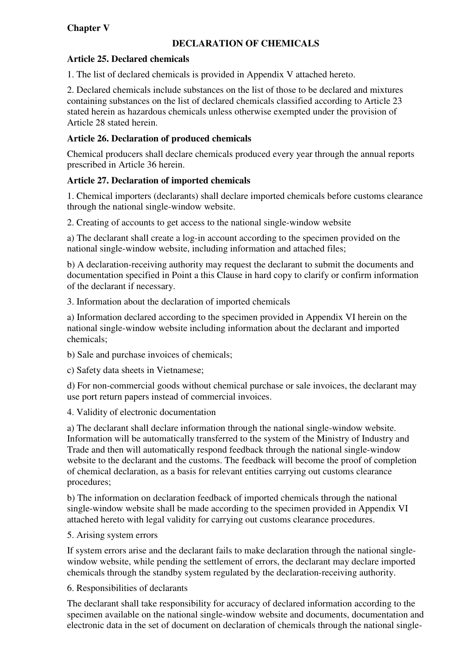# **Chapter V**

### **DECLARATION OF CHEMICALS**

### **Article 25. Declared chemicals**

1. The list of declared chemicals is provided in Appendix V attached hereto.

2. Declared chemicals include substances on the list of those to be declared and mixtures containing substances on the list of declared chemicals classified according to Article 23 stated herein as hazardous chemicals unless otherwise exempted under the provision of Article 28 stated herein.

### **Article 26. Declaration of produced chemicals**

Chemical producers shall declare chemicals produced every year through the annual reports prescribed in Article 36 herein.

### **Article 27. Declaration of imported chemicals**

1. Chemical importers (declarants) shall declare imported chemicals before customs clearance through the national single-window website.

2. Creating of accounts to get access to the national single-window website

a) The declarant shall create a log-in account according to the specimen provided on the national single-window website, including information and attached files;

b) A declaration-receiving authority may request the declarant to submit the documents and documentation specified in Point a this Clause in hard copy to clarify or confirm information of the declarant if necessary.

3. Information about the declaration of imported chemicals

a) Information declared according to the specimen provided in Appendix VI herein on the national single-window website including information about the declarant and imported chemicals;

b) Sale and purchase invoices of chemicals;

c) Safety data sheets in Vietnamese;

d) For non-commercial goods without chemical purchase or sale invoices, the declarant may use port return papers instead of commercial invoices.

4. Validity of electronic documentation

a) The declarant shall declare information through the national single-window website. Information will be automatically transferred to the system of the Ministry of Industry and Trade and then will automatically respond feedback through the national single-window website to the declarant and the customs. The feedback will become the proof of completion of chemical declaration, as a basis for relevant entities carrying out customs clearance procedures;

b) The information on declaration feedback of imported chemicals through the national single-window website shall be made according to the specimen provided in Appendix VI attached hereto with legal validity for carrying out customs clearance procedures.

5. Arising system errors

If system errors arise and the declarant fails to make declaration through the national singlewindow website, while pending the settlement of errors, the declarant may declare imported chemicals through the standby system regulated by the declaration-receiving authority.

#### 6. Responsibilities of declarants

The declarant shall take responsibility for accuracy of declared information according to the specimen available on the national single-window website and documents, documentation and electronic data in the set of document on declaration of chemicals through the national single-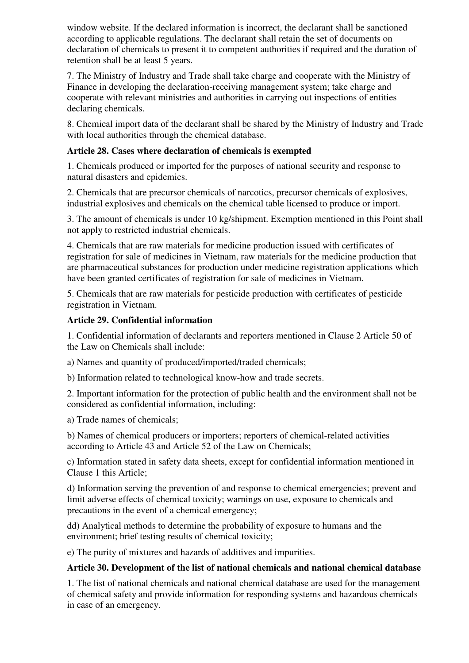window website. If the declared information is incorrect, the declarant shall be sanctioned according to applicable regulations. The declarant shall retain the set of documents on declaration of chemicals to present it to competent authorities if required and the duration of retention shall be at least 5 years.

7. The Ministry of Industry and Trade shall take charge and cooperate with the Ministry of Finance in developing the declaration-receiving management system; take charge and cooperate with relevant ministries and authorities in carrying out inspections of entities declaring chemicals.

8. Chemical import data of the declarant shall be shared by the Ministry of Industry and Trade with local authorities through the chemical database.

### **Article 28. Cases where declaration of chemicals is exempted**

1. Chemicals produced or imported for the purposes of national security and response to natural disasters and epidemics.

2. Chemicals that are precursor chemicals of narcotics, precursor chemicals of explosives, industrial explosives and chemicals on the chemical table licensed to produce or import.

3. The amount of chemicals is under 10 kg/shipment. Exemption mentioned in this Point shall not apply to restricted industrial chemicals.

4. Chemicals that are raw materials for medicine production issued with certificates of registration for sale of medicines in Vietnam, raw materials for the medicine production that are pharmaceutical substances for production under medicine registration applications which have been granted certificates of registration for sale of medicines in Vietnam.

5. Chemicals that are raw materials for pesticide production with certificates of pesticide registration in Vietnam.

### **Article 29. Confidential information**

1. Confidential information of declarants and reporters mentioned in Clause 2 Article 50 of the Law on Chemicals shall include:

a) Names and quantity of produced/imported/traded chemicals;

b) Information related to technological know-how and trade secrets.

2. Important information for the protection of public health and the environment shall not be considered as confidential information, including:

a) Trade names of chemicals;

b) Names of chemical producers or importers; reporters of chemical-related activities according to Article 43 and Article 52 of the Law on Chemicals;

c) Information stated in safety data sheets, except for confidential information mentioned in Clause 1 this Article;

d) Information serving the prevention of and response to chemical emergencies; prevent and limit adverse effects of chemical toxicity; warnings on use, exposure to chemicals and precautions in the event of a chemical emergency;

dd) Analytical methods to determine the probability of exposure to humans and the environment; brief testing results of chemical toxicity;

e) The purity of mixtures and hazards of additives and impurities.

### **Article 30. Development of the list of national chemicals and national chemical database**

1. The list of national chemicals and national chemical database are used for the management of chemical safety and provide information for responding systems and hazardous chemicals in case of an emergency.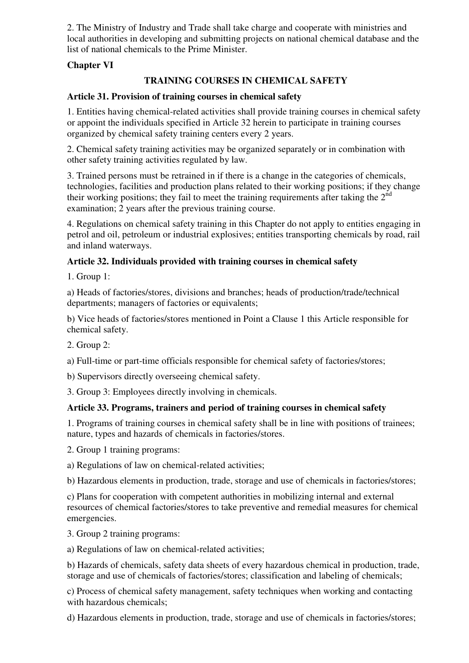2. The Ministry of Industry and Trade shall take charge and cooperate with ministries and local authorities in developing and submitting projects on national chemical database and the list of national chemicals to the Prime Minister.

### **Chapter VI**

### **TRAINING COURSES IN CHEMICAL SAFETY**

### **Article 31. Provision of training courses in chemical safety**

1. Entities having chemical-related activities shall provide training courses in chemical safety or appoint the individuals specified in Article 32 herein to participate in training courses organized by chemical safety training centers every 2 years.

2. Chemical safety training activities may be organized separately or in combination with other safety training activities regulated by law.

3. Trained persons must be retrained in if there is a change in the categories of chemicals, technologies, facilities and production plans related to their working positions; if they change their working positions; they fail to meet the training requirements after taking the  $2<sup>nd</sup>$ examination; 2 years after the previous training course.

4. Regulations on chemical safety training in this Chapter do not apply to entities engaging in petrol and oil, petroleum or industrial explosives; entities transporting chemicals by road, rail and inland waterways.

### **Article 32. Individuals provided with training courses in chemical safety**

1. Group 1:

a) Heads of factories/stores, divisions and branches; heads of production/trade/technical departments; managers of factories or equivalents;

b) Vice heads of factories/stores mentioned in Point a Clause 1 this Article responsible for chemical safety.

2. Group 2:

a) Full-time or part-time officials responsible for chemical safety of factories/stores;

b) Supervisors directly overseeing chemical safety.

3. Group 3: Employees directly involving in chemicals.

### **Article 33. Programs, trainers and period of training courses in chemical safety**

1. Programs of training courses in chemical safety shall be in line with positions of trainees; nature, types and hazards of chemicals in factories/stores.

2. Group 1 training programs:

a) Regulations of law on chemical-related activities;

b) Hazardous elements in production, trade, storage and use of chemicals in factories/stores;

c) Plans for cooperation with competent authorities in mobilizing internal and external resources of chemical factories/stores to take preventive and remedial measures for chemical emergencies.

3. Group 2 training programs:

a) Regulations of law on chemical-related activities;

b) Hazards of chemicals, safety data sheets of every hazardous chemical in production, trade, storage and use of chemicals of factories/stores; classification and labeling of chemicals;

c) Process of chemical safety management, safety techniques when working and contacting with hazardous chemicals;

d) Hazardous elements in production, trade, storage and use of chemicals in factories/stores;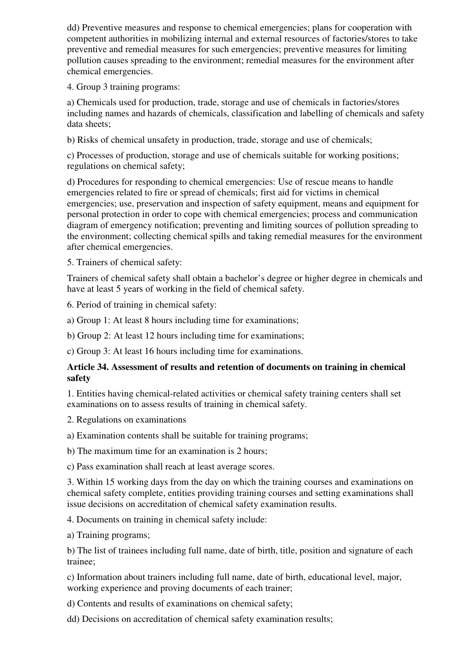dd) Preventive measures and response to chemical emergencies; plans for cooperation with competent authorities in mobilizing internal and external resources of factories/stores to take preventive and remedial measures for such emergencies; preventive measures for limiting pollution causes spreading to the environment; remedial measures for the environment after chemical emergencies.

4. Group 3 training programs:

a) Chemicals used for production, trade, storage and use of chemicals in factories/stores including names and hazards of chemicals, classification and labelling of chemicals and safety data sheets;

b) Risks of chemical unsafety in production, trade, storage and use of chemicals;

c) Processes of production, storage and use of chemicals suitable for working positions; regulations on chemical safety;

d) Procedures for responding to chemical emergencies: Use of rescue means to handle emergencies related to fire or spread of chemicals; first aid for victims in chemical emergencies; use, preservation and inspection of safety equipment, means and equipment for personal protection in order to cope with chemical emergencies; process and communication diagram of emergency notification; preventing and limiting sources of pollution spreading to the environment; collecting chemical spills and taking remedial measures for the environment after chemical emergencies.

5. Trainers of chemical safety:

Trainers of chemical safety shall obtain a bachelor's degree or higher degree in chemicals and have at least 5 years of working in the field of chemical safety.

6. Period of training in chemical safety:

a) Group 1: At least 8 hours including time for examinations;

b) Group 2: At least 12 hours including time for examinations;

c) Group 3: At least 16 hours including time for examinations.

#### **Article 34. Assessment of results and retention of documents on training in chemical safety**

1. Entities having chemical-related activities or chemical safety training centers shall set examinations on to assess results of training in chemical safety.

2. Regulations on examinations

a) Examination contents shall be suitable for training programs;

b) The maximum time for an examination is 2 hours;

c) Pass examination shall reach at least average scores.

3. Within 15 working days from the day on which the training courses and examinations on chemical safety complete, entities providing training courses and setting examinations shall issue decisions on accreditation of chemical safety examination results.

4. Documents on training in chemical safety include:

a) Training programs;

b) The list of trainees including full name, date of birth, title, position and signature of each trainee;

c) Information about trainers including full name, date of birth, educational level, major, working experience and proving documents of each trainer;

d) Contents and results of examinations on chemical safety;

dd) Decisions on accreditation of chemical safety examination results;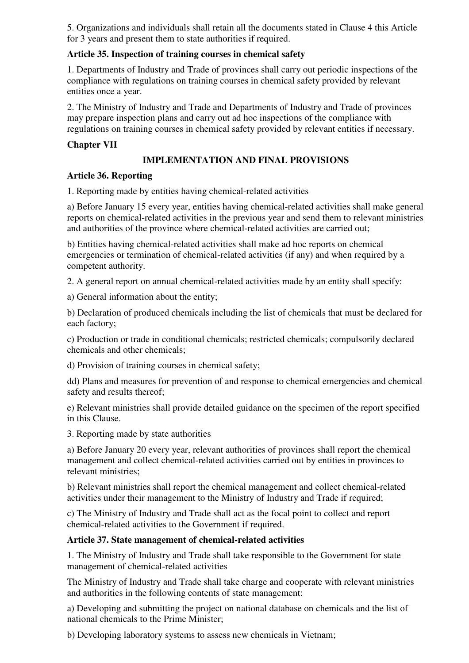5. Organizations and individuals shall retain all the documents stated in Clause 4 this Article for 3 years and present them to state authorities if required.

### **Article 35. Inspection of training courses in chemical safety**

1. Departments of Industry and Trade of provinces shall carry out periodic inspections of the compliance with regulations on training courses in chemical safety provided by relevant entities once a year.

2. The Ministry of Industry and Trade and Departments of Industry and Trade of provinces may prepare inspection plans and carry out ad hoc inspections of the compliance with regulations on training courses in chemical safety provided by relevant entities if necessary.

### **Chapter VII**

### **IMPLEMENTATION AND FINAL PROVISIONS**

### **Article 36. Reporting**

1. Reporting made by entities having chemical-related activities

a) Before January 15 every year, entities having chemical-related activities shall make general reports on chemical-related activities in the previous year and send them to relevant ministries and authorities of the province where chemical-related activities are carried out;

b) Entities having chemical-related activities shall make ad hoc reports on chemical emergencies or termination of chemical-related activities (if any) and when required by a competent authority.

2. A general report on annual chemical-related activities made by an entity shall specify:

a) General information about the entity;

b) Declaration of produced chemicals including the list of chemicals that must be declared for each factory;

c) Production or trade in conditional chemicals; restricted chemicals; compulsorily declared chemicals and other chemicals;

d) Provision of training courses in chemical safety;

dd) Plans and measures for prevention of and response to chemical emergencies and chemical safety and results thereof;

e) Relevant ministries shall provide detailed guidance on the specimen of the report specified in this Clause.

3. Reporting made by state authorities

a) Before January 20 every year, relevant authorities of provinces shall report the chemical management and collect chemical-related activities carried out by entities in provinces to relevant ministries;

b) Relevant ministries shall report the chemical management and collect chemical-related activities under their management to the Ministry of Industry and Trade if required;

c) The Ministry of Industry and Trade shall act as the focal point to collect and report chemical-related activities to the Government if required.

### **Article 37. State management of chemical-related activities**

1. The Ministry of Industry and Trade shall take responsible to the Government for state management of chemical-related activities

The Ministry of Industry and Trade shall take charge and cooperate with relevant ministries and authorities in the following contents of state management:

a) Developing and submitting the project on national database on chemicals and the list of national chemicals to the Prime Minister;

b) Developing laboratory systems to assess new chemicals in Vietnam;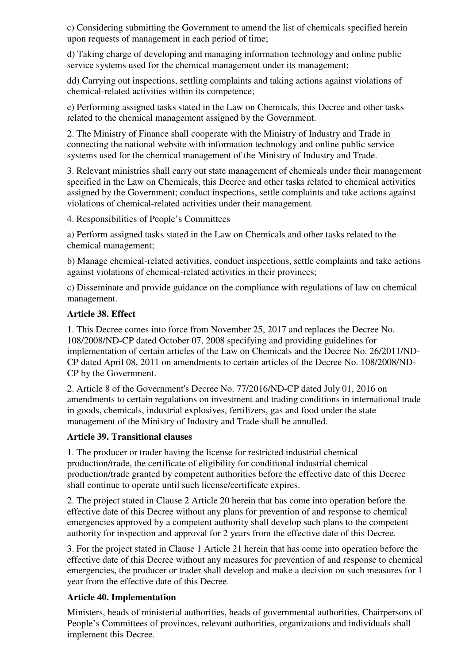c) Considering submitting the Government to amend the list of chemicals specified herein upon requests of management in each period of time;

d) Taking charge of developing and managing information technology and online public service systems used for the chemical management under its management:

dd) Carrying out inspections, settling complaints and taking actions against violations of chemical-related activities within its competence;

e) Performing assigned tasks stated in the Law on Chemicals, this Decree and other tasks related to the chemical management assigned by the Government.

2. The Ministry of Finance shall cooperate with the Ministry of Industry and Trade in connecting the national website with information technology and online public service systems used for the chemical management of the Ministry of Industry and Trade.

3. Relevant ministries shall carry out state management of chemicals under their management specified in the Law on Chemicals, this Decree and other tasks related to chemical activities assigned by the Government; conduct inspections, settle complaints and take actions against violations of chemical-related activities under their management.

4. Responsibilities of People's Committees

a) Perform assigned tasks stated in the Law on Chemicals and other tasks related to the chemical management;

b) Manage chemical-related activities, conduct inspections, settle complaints and take actions against violations of chemical-related activities in their provinces;

c) Disseminate and provide guidance on the compliance with regulations of law on chemical management.

#### **Article 38. Effect**

1. This Decree comes into force from November 25, 2017 and replaces the Decree No. 108/2008/ND-CP dated October 07, 2008 specifying and providing guidelines for implementation of certain articles of the Law on Chemicals and the Decree No. 26/2011/ND-CP dated April 08, 2011 on amendments to certain articles of the Decree No. 108/2008/ND-CP by the Government.

2. Article 8 of the Government's Decree No. 77/2016/ND-CP dated July 01, 2016 on amendments to certain regulations on investment and trading conditions in international trade in goods, chemicals, industrial explosives, fertilizers, gas and food under the state management of the Ministry of Industry and Trade shall be annulled.

### **Article 39. Transitional clauses**

1. The producer or trader having the license for restricted industrial chemical production/trade, the certificate of eligibility for conditional industrial chemical production/trade granted by competent authorities before the effective date of this Decree shall continue to operate until such license/certificate expires.

2. The project stated in Clause 2 Article 20 herein that has come into operation before the effective date of this Decree without any plans for prevention of and response to chemical emergencies approved by a competent authority shall develop such plans to the competent authority for inspection and approval for 2 years from the effective date of this Decree.

3. For the project stated in Clause 1 Article 21 herein that has come into operation before the effective date of this Decree without any measures for prevention of and response to chemical emergencies, the producer or trader shall develop and make a decision on such measures for 1 year from the effective date of this Decree.

### **Article 40. Implementation**

Ministers, heads of ministerial authorities, heads of governmental authorities, Chairpersons of People's Committees of provinces, relevant authorities, organizations and individuals shall implement this Decree.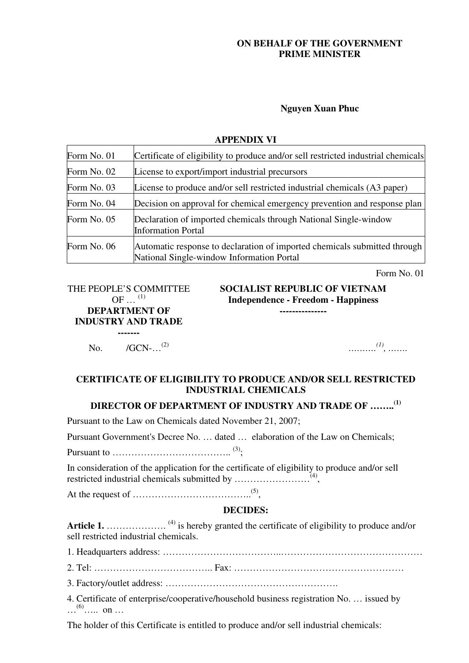### **ON BEHALF OF THE GOVERNMENT PRIME MINISTER**

#### **Nguyen Xuan Phuc**

#### **APPENDIX VI**

| Form No. 01 | Certificate of eligibility to produce and/or sell restricted industrial chemicals                                      |
|-------------|------------------------------------------------------------------------------------------------------------------------|
| Form No. 02 | License to export/import industrial precursors                                                                         |
| Form No. 03 | License to produce and/or sell restricted industrial chemicals (A3 paper)                                              |
| Form No. 04 | Decision on approval for chemical emergency prevention and response plan                                               |
| Form No. 05 | Declaration of imported chemicals through National Single-window<br><b>Information Portal</b>                          |
| Form No. 06 | Automatic response to declaration of imported chemicals submitted through<br>National Single-window Information Portal |

Form No. 01

THE PEOPLE'S COMMITTEE  $OF \dots$ <sup>(1)</sup> **DEPARTMENT OF INDUSTRY AND TRADE -------** 

**SOCIALIST REPUBLIC OF VIETNAM Independence - Freedom - Happiness ---------------**

No. /GCN-...<sup>(2)</sup>

*(1) , …….*

### **CERTIFICATE OF ELIGIBILITY TO PRODUCE AND/OR SELL RESTRICTED INDUSTRIAL CHEMICALS**

### **DIRECTOR OF DEPARTMENT OF INDUSTRY AND TRADE OF …….. (1)**

Pursuant to the Law on Chemicals dated November 21, 2007;

Pursuant Government's Decree No. … dated … elaboration of the Law on Chemicals;

Pursuant to ……………………………….. (3) ;

In consideration of the application for the certificate of eligibility to produce and/or sell restricted industrial chemicals submitted by ……………………(4) ,

At the request of  $\ldots$   $\ldots$   $\ldots$   $\ldots$   $\ldots$   $\ldots$   $\ldots$   $\ldots$   $\ldots$   $\ldots$   $\ldots$   $\ldots$   $\ldots$   $\ldots$   $\ldots$   $\ldots$   $\ldots$   $\ldots$   $\ldots$   $\ldots$   $\ldots$   $\ldots$   $\ldots$   $\ldots$   $\ldots$   $\ldots$   $\ldots$   $\ldots$   $\ldots$   $\ldots$   $\ldots$   $\ldots$   $\ldots$   $\ldots$ 

#### **DECIDES:**

Article 1. ...................<sup>(4)</sup> is hereby granted the certificate of eligibility to produce and/or sell restricted industrial chemicals.

1. Headquarters address: ………………………………..………………………………………

2. Tel: ……………………………….. Fax: ………………………………………………

3. Factory/outlet address: ……………………………………………….

4. Certificate of enterprise/cooperative/household business registration No. … issued by  $\ldots$ <sup>(6)</sup>……. on …

The holder of this Certificate is entitled to produce and/or sell industrial chemicals: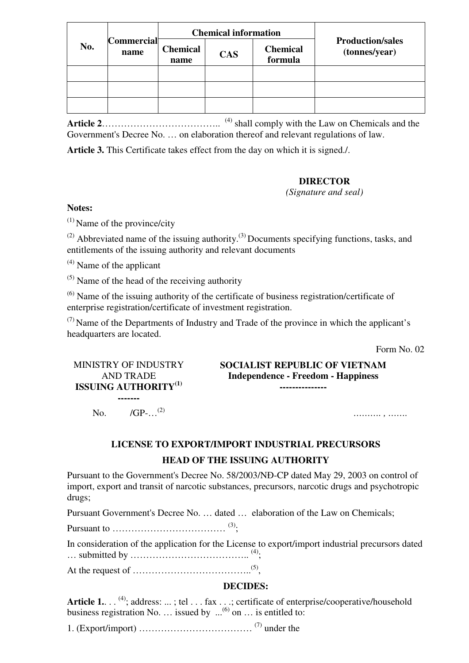|     | <b>Commercial</b><br>name |                         | <b>Chemical information</b> |                            |                                          |
|-----|---------------------------|-------------------------|-----------------------------|----------------------------|------------------------------------------|
| No. |                           | <b>Chemical</b><br>name | <b>CAS</b>                  | <b>Chemical</b><br>formula | <b>Production/sales</b><br>(tonnes/year) |
|     |                           |                         |                             |                            |                                          |
|     |                           |                         |                             |                            |                                          |
|     |                           |                         |                             |                            |                                          |

Article 2………………………………………<sup>(4)</sup> shall comply with the Law on Chemicals and the Government's Decree No. … on elaboration thereof and relevant regulations of law.

**Article 3.** This Certificate takes effect from the day on which it is signed./.

#### **DIRECTOR**

*(Signature and seal)*

#### **Notes:**

 $^{(1)}$  Name of the province/city

 $(2)$  Abbreviated name of the issuing authority.<sup>(3)</sup> Documents specifying functions, tasks, and entitlements of the issuing authority and relevant documents

 $^{(4)}$  Name of the applicant

 $(5)$  Name of the head of the receiving authority

 $<sup>(6)</sup>$  Name of the issuing authority of the certificate of business registration/certificate of</sup> enterprise registration/certificate of investment registration.

 $(7)$  Name of the Departments of Industry and Trade of the province in which the applicant's headquarters are located.

Form No. 02

### MINISTRY OF INDUSTRY AND TRADE **ISSUING AUTHORITY(1)**

**SOCIALIST REPUBLIC OF VIETNAM Independence - Freedom - Happiness ---------------**

No. /GP-…(2) *………. , …….*

**-------** 

# **LICENSE TO EXPORT/IMPORT INDUSTRIAL PRECURSORS**

### **HEAD OF THE ISSUING AUTHORITY**

Pursuant to the Government's Decree No. 58/2003/NĐ-CP dated May 29, 2003 on control of import, export and transit of narcotic substances, precursors, narcotic drugs and psychotropic drugs;

Pursuant Government's Decree No. … dated … elaboration of the Law on Chemicals;

Pursuant to  $\dots \dots \dots \dots \dots \dots \dots \dots \dots \dots$  (3).

In consideration of the application for the License to export/import industrial precursors dated … submitted by ……………………………….. (4) ;

At the request of  $\ldots$   $\ldots$   $\ldots$   $\ldots$   $\ldots$   $\ldots$   $\ldots$   $\ldots$   $\ldots$   $\ldots$   $\ldots$   $\ldots$   $\ldots$   $\ldots$   $\ldots$   $\ldots$   $\ldots$   $\ldots$   $\ldots$   $\ldots$   $\ldots$   $\ldots$   $\ldots$   $\ldots$   $\ldots$   $\ldots$   $\ldots$   $\ldots$   $\ldots$   $\ldots$   $\ldots$   $\ldots$   $\ldots$   $\ldots$ 

#### **DECIDES:**

Article 1. . . <sup>(4)</sup>; address: ... ; tel . . . fax . . .; certificate of enterprise/cooperative/household business registration No. ... issued by  $\ldots^{(6)}$  on  $\ldots$  is entitled to:

1. (Export/import)  $\ldots$   $\ldots$   $\ldots$   $\ldots$   $\ldots$   $\ldots$   $\ldots$   $\ldots$   $\ldots$   $\ldots$   $\ldots$   $\ldots$   $\ldots$   $\ldots$   $\ldots$   $\ldots$   $\ldots$   $\ldots$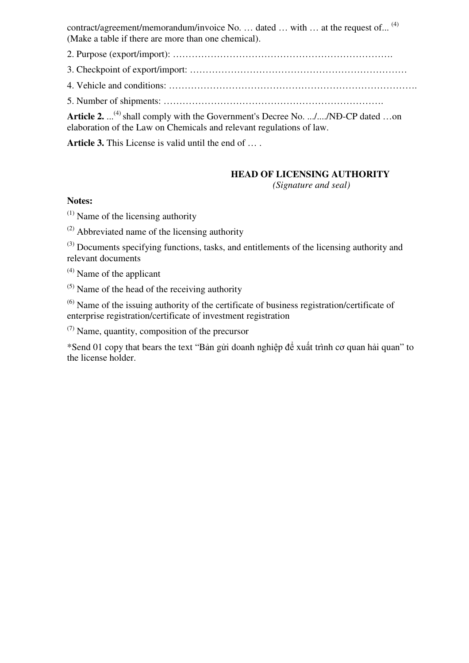contract/agreement/memorandum/invoice No. ... dated ... with ... at the request of...<sup>(4)</sup> (Make a table if there are more than one chemical).

2. Purpose (export/import): …………………………………………………………….

3. Checkpoint of export/import: ……………………………………………………………

4. Vehicle and conditions: …………………………………………………………………….

5. Number of shipments: …………………………………………………………….

Article 2. ...<sup>(4)</sup> shall comply with the Government's Decree No. .../..../NĐ-CP dated ...on elaboration of the Law on Chemicals and relevant regulations of law.

**Article 3.** This License is valid until the end of … .

### **HEAD OF LICENSING AUTHORITY**

 *(Signature and seal)*

#### **Notes:**

 $(1)$  Name of the licensing authority

 $^{(2)}$  Abbreviated name of the licensing authority

 $(3)$  Documents specifying functions, tasks, and entitlements of the licensing authority and relevant documents

 $^{(4)}$  Name of the applicant

 $(5)$  Name of the head of the receiving authority

 $<sup>(6)</sup>$  Name of the issuing authority of the certificate of business registration/certificate of</sup> enterprise registration/certificate of investment registration

(7) Name, quantity, composition of the precursor

\*Send 01 copy that bears the text "Bản gửi doanh nghiệp để xuất trình cơ quan hải quan" to the license holder.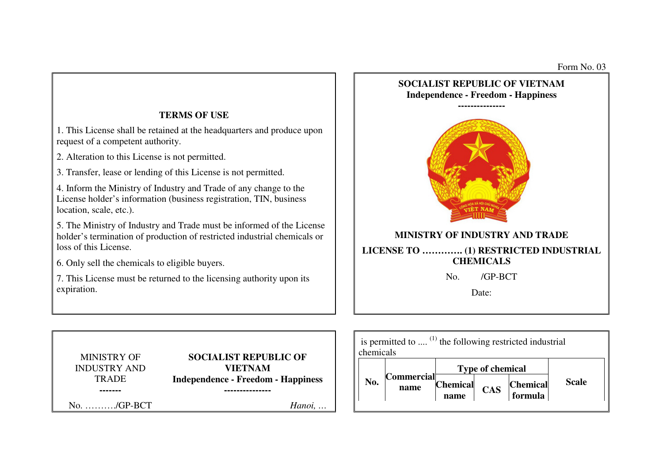

**name** 

 $formula$ 

1. This License shall be retained at the headquarters and produce upon request of a competent authority.

2. Alteration to this License is not permitted.

3. Transfer, lease or lending of this License is not permitted.

4. Inform the Ministry of Industry and Trade of any change to the License holder's information (business registration, TIN, business location, scale, etc.).

5. The Ministry of Industry and Trade must be informed of the License holder's termination of production of restricted industrial chemicals or loss of this License.

6. Only sell the chemicals to eligible buyers.

7. This License must be returned to the licensing authority upon its expiration.

MINISTRY OF INDUSTRY AND **TRADE ------- ---------------**No. ………./GP-BCT *Hanoi, …*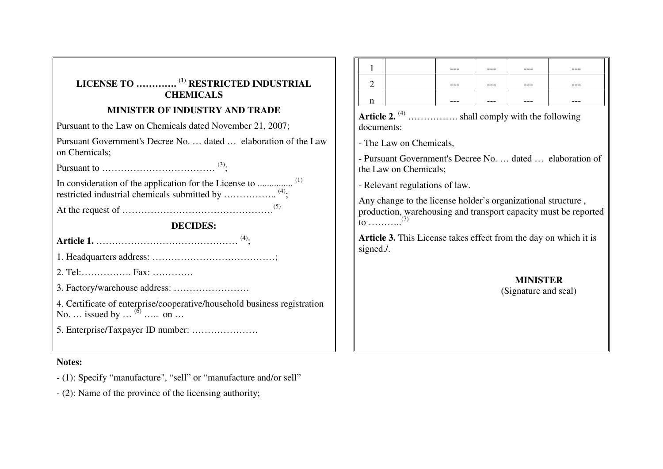| LICENSE TO <sup>(1)</sup> RESTRICTED INDUSTRIAL<br><b>CHEMICALS</b>                                    |  |  |  |  |  |  |  |  |
|--------------------------------------------------------------------------------------------------------|--|--|--|--|--|--|--|--|
| <b>MINISTER OF INDUSTRY AND TRADE</b>                                                                  |  |  |  |  |  |  |  |  |
| Pursuant to the Law on Chemicals dated November 21, 2007;                                              |  |  |  |  |  |  |  |  |
| Pursuant Government's Decree No.  dated  elaboration of the Law<br>on Chemicals;                       |  |  |  |  |  |  |  |  |
|                                                                                                        |  |  |  |  |  |  |  |  |
| restricted industrial chemicals submitted by <sup>(4)</sup> ;                                          |  |  |  |  |  |  |  |  |
|                                                                                                        |  |  |  |  |  |  |  |  |
| <b>DECIDES:</b>                                                                                        |  |  |  |  |  |  |  |  |
|                                                                                                        |  |  |  |  |  |  |  |  |
|                                                                                                        |  |  |  |  |  |  |  |  |
| 2. Tel: Fax:                                                                                           |  |  |  |  |  |  |  |  |
|                                                                                                        |  |  |  |  |  |  |  |  |
| 4. Certificate of enterprise/cooperative/household business registration<br>No.  issued by $^{(6)}$ on |  |  |  |  |  |  |  |  |
|                                                                                                        |  |  |  |  |  |  |  |  |

### **Notes:**

- (1): Specify "manufacture", "sell" or "manufacture and/or sell"

- (2): Name of the province of the licensing authority;

|   | --- | ---     | --- | ---     |
|---|-----|---------|-----|---------|
|   | --- | $- - -$ | --- | $- - -$ |
| ∽ | --- | ---     | --- | ---     |

Article 2.<sup>(4)</sup> …………….. shall comply with the following documents:

- The Law on Chemicals,

- Pursuant Government's Decree No. … dated … elaboration of the Law on Chemicals;

- Relevant regulations of law.

Any change to the license holder's organizational structure , production, warehousing and transport capacity must be reported to ………..(7)

**Article 3.** This License takes effect from the day on which it is signed./.

> **MINISTER** (Signature and seal)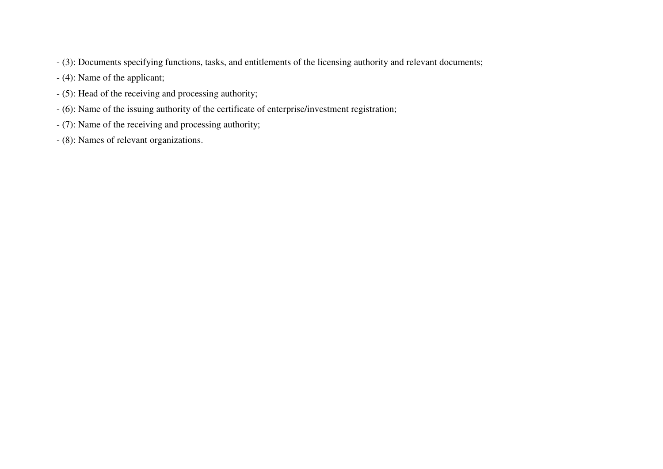- (3): Documents specifying functions, tasks, and entitlements of the licensing authority and relevant documents;
- (4): Name of the applicant;
- (5): Head of the receiving and processing authority;
- (6): Name of the issuing authority of the certificate of enterprise/investment registration;
- (7): Name of the receiving and processing authority;
- (8): Names of relevant organizations.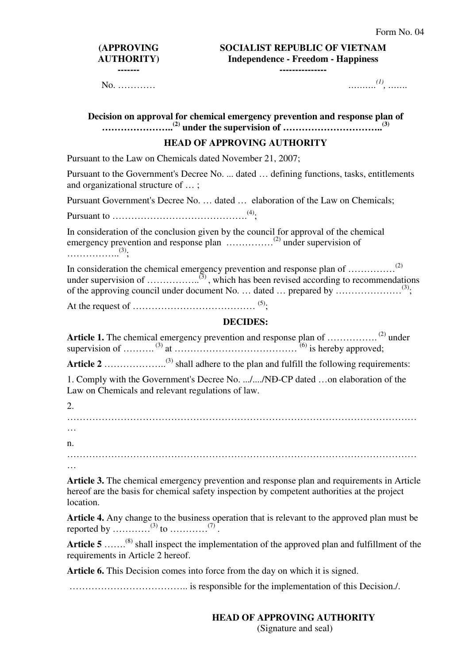## **(APPROVING AUTHORITY) -------**

**SOCIALIST REPUBLIC OF VIETNAM Independence - Freedom - Happiness** 

**---------------**

No. ………… *……….*

*(1) , …….*

| Decision on approval for chemical emergency prevention and response plan of                                                                                                                                              |
|--------------------------------------------------------------------------------------------------------------------------------------------------------------------------------------------------------------------------|
| <b>HEAD OF APPROVING AUTHORITY</b>                                                                                                                                                                                       |
| Pursuant to the Law on Chemicals dated November 21, 2007;                                                                                                                                                                |
| Pursuant to the Government's Decree No.  dated  defining functions, tasks, entitlements<br>and organizational structure of ;                                                                                             |
| Pursuant Government's Decree No.  dated  elaboration of the Law on Chemicals;                                                                                                                                            |
|                                                                                                                                                                                                                          |
| In consideration of the conclusion given by the council for approval of the chemical<br>emergency prevention and response plan <sup>(2)</sup> under supervision of<br>$\cdots \cdots \cdots \cdots \cdots \cdots \cdots$ |
| In consideration the chemical emergency prevention and response plan of <sup>(2)</sup>                                                                                                                                   |
|                                                                                                                                                                                                                          |
| <b>DECIDES:</b>                                                                                                                                                                                                          |
| <b>Article 1.</b> The chemical emergency prevention and response plan of <sup>(2)</sup> under                                                                                                                            |
|                                                                                                                                                                                                                          |
| 1. Comply with the Government's Decree No. //NĐ-CP dated on elaboration of the<br>Law on Chemicals and relevant regulations of law.                                                                                      |
| 2.                                                                                                                                                                                                                       |
|                                                                                                                                                                                                                          |
| $\cdots$                                                                                                                                                                                                                 |
| n.                                                                                                                                                                                                                       |
|                                                                                                                                                                                                                          |
|                                                                                                                                                                                                                          |
| Article 3. The chemical emergency prevention and response plan and requirements in Article<br>hereof are the basis for chemical safety inspection by competent authorities at the project<br>location.                   |

**Article 4.** Any change to the business operation that is relevant to the approved plan must be reported by  $\ldots$   $^{(3)}$  to  $\ldots$   $^{(7)}$ .

Article 5 …...<sup>(8)</sup> shall inspect the implementation of the approved plan and fulfillment of the requirements in Article 2 hereof.

**Article 6.** This Decision comes into force from the day on which it is signed.

……………………………….. is responsible for the implementation of this Decision./.

# **HEAD OF APPROVING AUTHORITY**

(Signature and seal)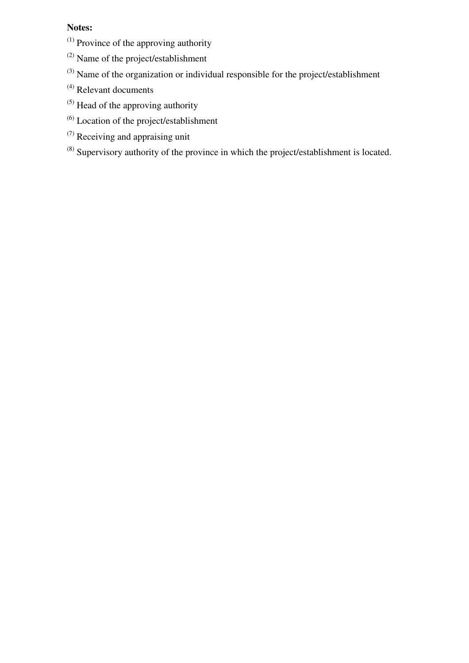### **Notes:**

- (1) Province of the approving authority
- (2) Name of the project/establishment
- (3) Name of the organization or individual responsible for the project/establishment
- (4) Relevant documents
- (5) Head of the approving authority
- $<sup>(6)</sup>$  Location of the project/establishment</sup>
- (7) Receiving and appraising unit
- (8) Supervisory authority of the province in which the project/establishment is located.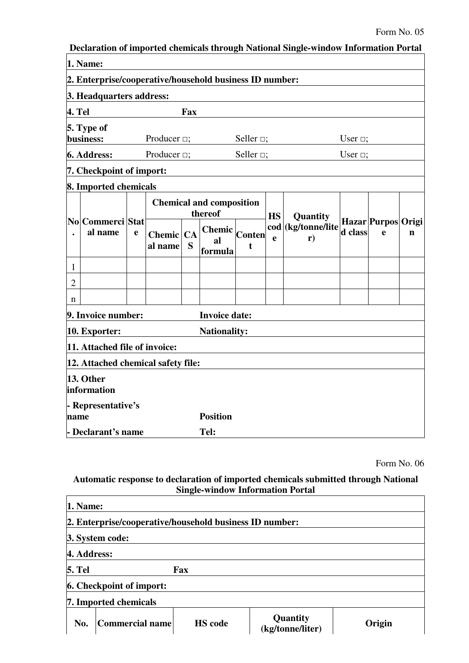| 1. Name:<br>2. Enterprise/cooperative/household business ID number:<br>3. Headquarters address:<br>4. Tel<br>Fax<br>5. Type of<br>business:<br>Producer $\Box$ ;<br>Seller $\Box$ ;<br>User $\Box$ ;<br>Producer $\Box$ ;<br>Seller $\Box$ ;<br>6. Address:<br>User $\Box$ ;<br>7. Checkpoint of import:<br>8. Imported chemicals<br><b>Chemical and composition</b><br>thereof<br><b>HS</b><br>Quantity<br>No Commerci Stat<br>Hazar Purpos Origi<br>cod (kg/tonne/lite<br>$\frac{1}{\text{Center}}$<br>d class<br>al name<br>e<br>e<br>$\mathbf n$<br>Chemic CA<br>$\mathbf{e}$<br>r)<br>al<br>S<br>al name<br>t<br>formula<br>$\mathbf{1}$<br>$\overline{2}$<br>n<br>9. Invoice number:<br><b>Invoice date:</b><br>10. Exporter:<br><b>Nationality:</b><br>11. Attached file of invoice:<br>12. Attached chemical safety file:<br>13. Other<br>information<br>- Representative's<br><b>Position</b><br>name<br>Declarant's name<br>Tel: |  |  |  |  | Declaration of imported chemicals through National Single-window Information Portal |  |  |
|--------------------------------------------------------------------------------------------------------------------------------------------------------------------------------------------------------------------------------------------------------------------------------------------------------------------------------------------------------------------------------------------------------------------------------------------------------------------------------------------------------------------------------------------------------------------------------------------------------------------------------------------------------------------------------------------------------------------------------------------------------------------------------------------------------------------------------------------------------------------------------------------------------------------------------------------|--|--|--|--|-------------------------------------------------------------------------------------|--|--|
|                                                                                                                                                                                                                                                                                                                                                                                                                                                                                                                                                                                                                                                                                                                                                                                                                                                                                                                                            |  |  |  |  |                                                                                     |  |  |
|                                                                                                                                                                                                                                                                                                                                                                                                                                                                                                                                                                                                                                                                                                                                                                                                                                                                                                                                            |  |  |  |  |                                                                                     |  |  |
|                                                                                                                                                                                                                                                                                                                                                                                                                                                                                                                                                                                                                                                                                                                                                                                                                                                                                                                                            |  |  |  |  |                                                                                     |  |  |
|                                                                                                                                                                                                                                                                                                                                                                                                                                                                                                                                                                                                                                                                                                                                                                                                                                                                                                                                            |  |  |  |  |                                                                                     |  |  |
|                                                                                                                                                                                                                                                                                                                                                                                                                                                                                                                                                                                                                                                                                                                                                                                                                                                                                                                                            |  |  |  |  |                                                                                     |  |  |
|                                                                                                                                                                                                                                                                                                                                                                                                                                                                                                                                                                                                                                                                                                                                                                                                                                                                                                                                            |  |  |  |  |                                                                                     |  |  |
|                                                                                                                                                                                                                                                                                                                                                                                                                                                                                                                                                                                                                                                                                                                                                                                                                                                                                                                                            |  |  |  |  |                                                                                     |  |  |
|                                                                                                                                                                                                                                                                                                                                                                                                                                                                                                                                                                                                                                                                                                                                                                                                                                                                                                                                            |  |  |  |  |                                                                                     |  |  |
|                                                                                                                                                                                                                                                                                                                                                                                                                                                                                                                                                                                                                                                                                                                                                                                                                                                                                                                                            |  |  |  |  |                                                                                     |  |  |
|                                                                                                                                                                                                                                                                                                                                                                                                                                                                                                                                                                                                                                                                                                                                                                                                                                                                                                                                            |  |  |  |  |                                                                                     |  |  |
|                                                                                                                                                                                                                                                                                                                                                                                                                                                                                                                                                                                                                                                                                                                                                                                                                                                                                                                                            |  |  |  |  |                                                                                     |  |  |
|                                                                                                                                                                                                                                                                                                                                                                                                                                                                                                                                                                                                                                                                                                                                                                                                                                                                                                                                            |  |  |  |  |                                                                                     |  |  |
|                                                                                                                                                                                                                                                                                                                                                                                                                                                                                                                                                                                                                                                                                                                                                                                                                                                                                                                                            |  |  |  |  |                                                                                     |  |  |
|                                                                                                                                                                                                                                                                                                                                                                                                                                                                                                                                                                                                                                                                                                                                                                                                                                                                                                                                            |  |  |  |  |                                                                                     |  |  |
|                                                                                                                                                                                                                                                                                                                                                                                                                                                                                                                                                                                                                                                                                                                                                                                                                                                                                                                                            |  |  |  |  |                                                                                     |  |  |
|                                                                                                                                                                                                                                                                                                                                                                                                                                                                                                                                                                                                                                                                                                                                                                                                                                                                                                                                            |  |  |  |  |                                                                                     |  |  |
|                                                                                                                                                                                                                                                                                                                                                                                                                                                                                                                                                                                                                                                                                                                                                                                                                                                                                                                                            |  |  |  |  |                                                                                     |  |  |
|                                                                                                                                                                                                                                                                                                                                                                                                                                                                                                                                                                                                                                                                                                                                                                                                                                                                                                                                            |  |  |  |  |                                                                                     |  |  |
|                                                                                                                                                                                                                                                                                                                                                                                                                                                                                                                                                                                                                                                                                                                                                                                                                                                                                                                                            |  |  |  |  |                                                                                     |  |  |
|                                                                                                                                                                                                                                                                                                                                                                                                                                                                                                                                                                                                                                                                                                                                                                                                                                                                                                                                            |  |  |  |  |                                                                                     |  |  |

Form No. 06

### **Automatic response to declaration of imported chemicals submitted through National Single-window Information Portal**

| 1. Name:                                                |                                     |        |  |  |  |  |  |  |
|---------------------------------------------------------|-------------------------------------|--------|--|--|--|--|--|--|
| 2. Enterprise/cooperative/household business ID number: |                                     |        |  |  |  |  |  |  |
| 3. System code:                                         |                                     |        |  |  |  |  |  |  |
| 4. Address:                                             |                                     |        |  |  |  |  |  |  |
| <b>5. Tel</b><br>Fax                                    |                                     |        |  |  |  |  |  |  |
| <b>6. Checkpoint of import:</b>                         |                                     |        |  |  |  |  |  |  |
| 7. Imported chemicals                                   |                                     |        |  |  |  |  |  |  |
| Commercial name<br><b>HS</b> code<br>No.                | <b>Quantity</b><br>(kg/tonne/liter) | Origin |  |  |  |  |  |  |